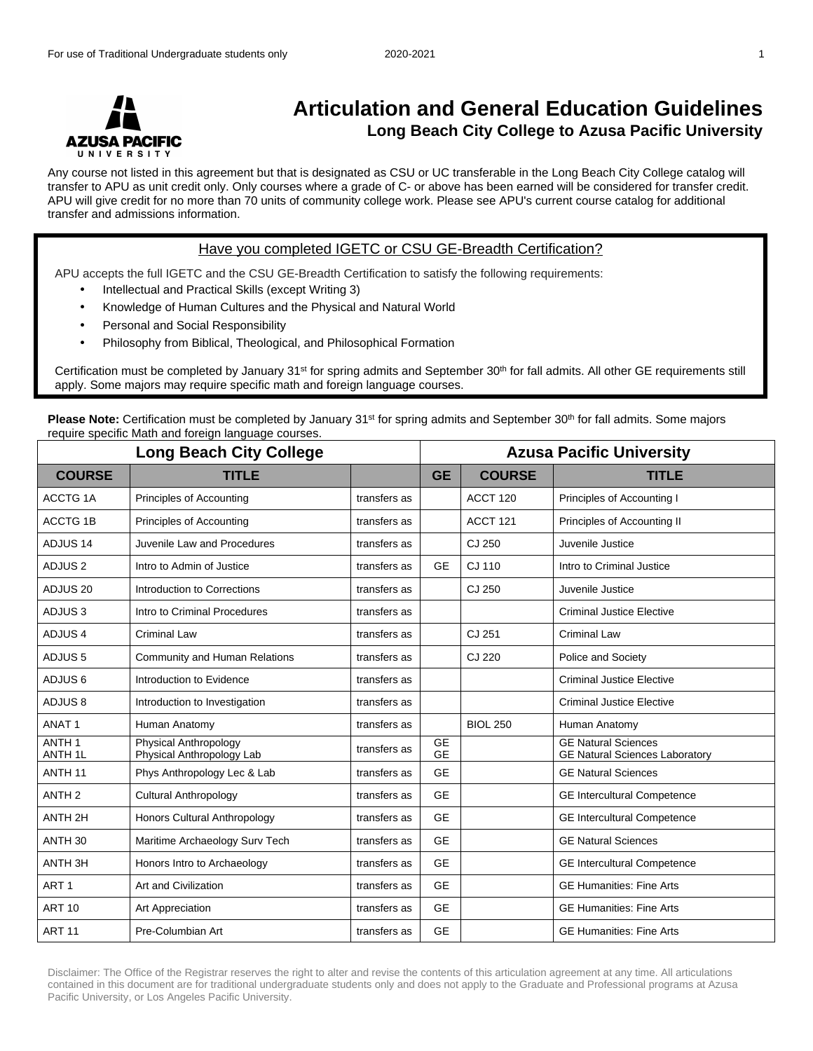

## **Articulation and General Education Guidelines Long Beach City College to Azusa Pacific University**

Any course not listed in this agreement but that is designated as CSU or UC transferable in the Long Beach City College catalog will transfer to APU as unit credit only. Only courses where a grade of C- or above has been earned will be considered for transfer credit. APU will give credit for no more than 70 units of community college work. Please see APU's current course catalog for additional transfer and admissions information.

## Have you completed IGETC or CSU GE-Breadth Certification?

APU accepts the full IGETC and the CSU GE-Breadth Certification to satisfy the following requirements:

- Intellectual and Practical Skills (except Writing 3)
- Knowledge of Human Cultures and the Physical and Natural World
- Personal and Social Responsibility
- Philosophy from Biblical, Theological, and Philosophical Formation

Certification must be completed by January 31st for spring admits and September 30th for fall admits. All other GE requirements still apply. Some majors may require specific math and foreign language courses.

**Please Note:** Certification must be completed by January 31<sup>st</sup> for spring admits and September 30<sup>th</sup> for fall admits. Some majors require specific Math and foreign language courses.

| <b>Long Beach City College</b>          |                                                    |              |                        | <b>Azusa Pacific University</b> |                                                                     |  |  |
|-----------------------------------------|----------------------------------------------------|--------------|------------------------|---------------------------------|---------------------------------------------------------------------|--|--|
| <b>COURSE</b>                           | <b>TITLE</b>                                       |              | <b>GE</b>              | <b>COURSE</b>                   | <b>TITLE</b>                                                        |  |  |
| ACCTG <sub>1</sub> A                    | Principles of Accounting                           | transfers as |                        | ACCT <sub>120</sub>             | Principles of Accounting I                                          |  |  |
| <b>ACCTG 1B</b>                         | Principles of Accounting                           | transfers as |                        | ACCT <sub>121</sub>             | Principles of Accounting II                                         |  |  |
| ADJUS <sub>14</sub>                     | Juvenile Law and Procedures                        | transfers as |                        | CJ 250                          | Juvenile Justice                                                    |  |  |
| ADJUS <sub>2</sub>                      | Intro to Admin of Justice                          | transfers as | <b>GE</b>              | CJ 110                          | Intro to Criminal Justice                                           |  |  |
| ADJUS <sub>20</sub>                     | Introduction to Corrections                        | transfers as |                        | CJ 250                          | Juvenile Justice                                                    |  |  |
| ADJUS <sub>3</sub>                      | Intro to Criminal Procedures                       | transfers as |                        |                                 | <b>Criminal Justice Elective</b>                                    |  |  |
| ADJUS <sub>4</sub>                      | Criminal Law                                       | transfers as |                        | CJ 251                          | Criminal Law                                                        |  |  |
| ADJUS <sub>5</sub>                      | Community and Human Relations                      | transfers as |                        | CJ 220                          | Police and Society                                                  |  |  |
| ADJUS <sub>6</sub>                      | Introduction to Evidence                           | transfers as |                        |                                 | <b>Criminal Justice Elective</b>                                    |  |  |
| ADJUS <sub>8</sub>                      | Introduction to Investigation                      | transfers as |                        |                                 | <b>Criminal Justice Elective</b>                                    |  |  |
| ANAT <sub>1</sub>                       | Human Anatomy                                      | transfers as |                        | <b>BIOL 250</b>                 | Human Anatomy                                                       |  |  |
| ANTH <sub>1</sub><br>ANTH <sub>1L</sub> | Physical Anthropology<br>Physical Anthropology Lab | transfers as | <b>GE</b><br><b>GE</b> |                                 | <b>GE Natural Sciences</b><br><b>GE Natural Sciences Laboratory</b> |  |  |
| ANTH <sub>11</sub>                      | Phys Anthropology Lec & Lab                        | transfers as | <b>GE</b>              |                                 | <b>GE Natural Sciences</b>                                          |  |  |
| ANTH <sub>2</sub>                       | <b>Cultural Anthropology</b>                       | transfers as | <b>GE</b>              |                                 | <b>GE Intercultural Competence</b>                                  |  |  |
| ANTH <sub>2H</sub>                      | Honors Cultural Anthropology                       | transfers as | <b>GE</b>              |                                 | <b>GE Intercultural Competence</b>                                  |  |  |
| ANTH <sub>30</sub>                      | Maritime Archaeology Surv Tech                     | transfers as | <b>GE</b>              |                                 | <b>GE Natural Sciences</b>                                          |  |  |
| ANTH <sub>3H</sub>                      | Honors Intro to Archaeology                        | transfers as | <b>GE</b>              |                                 | <b>GE Intercultural Competence</b>                                  |  |  |
| ART <sub>1</sub>                        | Art and Civilization                               | transfers as | <b>GE</b>              |                                 | <b>GE Humanities: Fine Arts</b>                                     |  |  |
| <b>ART 10</b>                           | Art Appreciation                                   | transfers as | <b>GE</b>              |                                 | <b>GE Humanities: Fine Arts</b>                                     |  |  |
| <b>ART 11</b>                           | Pre-Columbian Art                                  | transfers as | <b>GE</b>              |                                 | <b>GE Humanities: Fine Arts</b>                                     |  |  |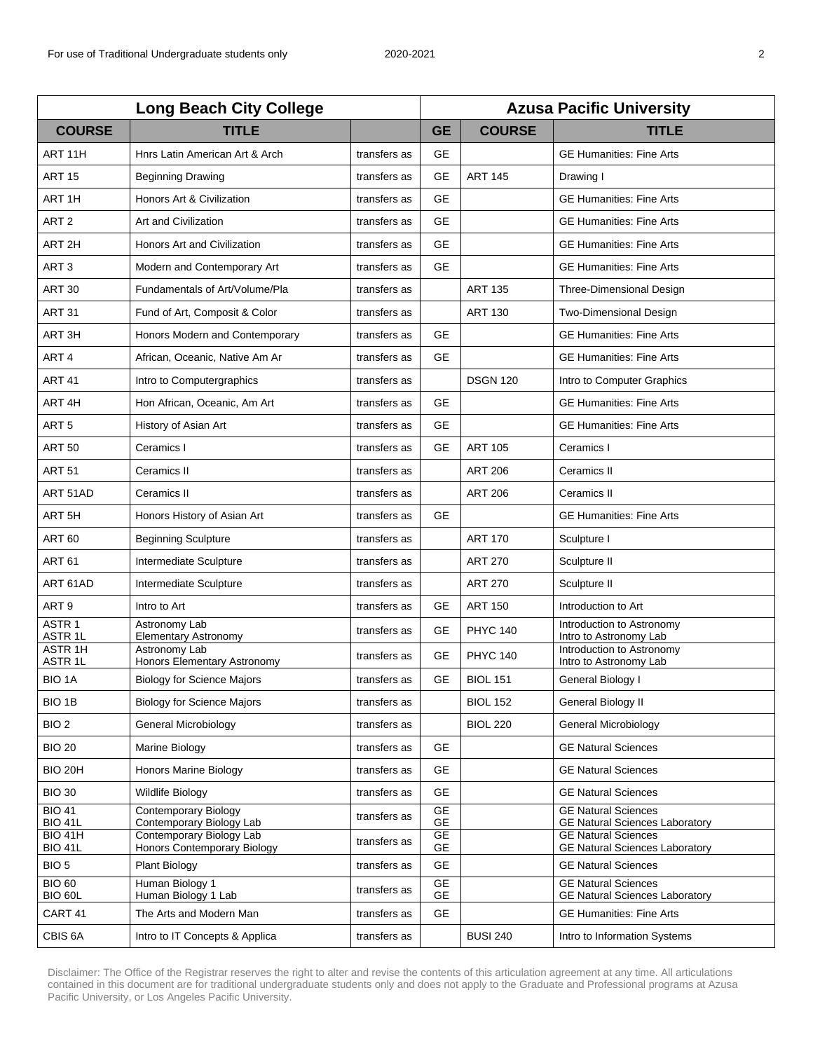| <b>Long Beach City College</b>           |                                                         |              | <b>Azusa Pacific University</b> |                 |                                                                     |  |
|------------------------------------------|---------------------------------------------------------|--------------|---------------------------------|-----------------|---------------------------------------------------------------------|--|
| <b>COURSE</b>                            | <b>TITLE</b>                                            |              | <b>GE</b>                       | <b>COURSE</b>   | <b>TITLE</b>                                                        |  |
| ART <sub>11</sub> H                      | Hnrs Latin American Art & Arch                          | transfers as | <b>GE</b>                       |                 | <b>GE Humanities: Fine Arts</b>                                     |  |
| <b>ART 15</b>                            | <b>Beginning Drawing</b>                                | transfers as | <b>GE</b>                       | <b>ART 145</b>  | Drawing I                                                           |  |
| ART <sub>1H</sub>                        | Honors Art & Civilization                               | transfers as | <b>GE</b>                       |                 | <b>GE Humanities: Fine Arts</b>                                     |  |
| ART <sub>2</sub>                         | Art and Civilization                                    | transfers as | <b>GE</b>                       |                 | <b>GE Humanities: Fine Arts</b>                                     |  |
| ART <sub>2H</sub>                        | Honors Art and Civilization                             | transfers as | <b>GE</b>                       |                 | <b>GE Humanities: Fine Arts</b>                                     |  |
| ART <sub>3</sub>                         | Modern and Contemporary Art                             | transfers as | <b>GE</b>                       |                 | <b>GE Humanities: Fine Arts</b>                                     |  |
| <b>ART 30</b>                            | Fundamentals of Art/Volume/Pla                          | transfers as |                                 | <b>ART 135</b>  | Three-Dimensional Design                                            |  |
| <b>ART 31</b>                            | Fund of Art, Composit & Color                           | transfers as |                                 | <b>ART 130</b>  | <b>Two-Dimensional Design</b>                                       |  |
| ART <sub>3H</sub>                        | Honors Modern and Contemporary                          | transfers as | <b>GE</b>                       |                 | <b>GE Humanities: Fine Arts</b>                                     |  |
| ART4                                     | African, Oceanic, Native Am Ar                          | transfers as | <b>GE</b>                       |                 | <b>GE Humanities: Fine Arts</b>                                     |  |
| <b>ART 41</b>                            | Intro to Computergraphics                               | transfers as |                                 | <b>DSGN 120</b> | Intro to Computer Graphics                                          |  |
| ART <sub>4H</sub>                        | Hon African, Oceanic, Am Art                            | transfers as | <b>GE</b>                       |                 | <b>GE Humanities: Fine Arts</b>                                     |  |
| ART <sub>5</sub>                         | History of Asian Art                                    | transfers as | <b>GE</b>                       |                 | <b>GE Humanities: Fine Arts</b>                                     |  |
| <b>ART 50</b>                            | Ceramics I                                              | transfers as | <b>GE</b>                       | <b>ART 105</b>  | Ceramics I                                                          |  |
| <b>ART 51</b>                            | Ceramics II                                             | transfers as |                                 | <b>ART 206</b>  | Ceramics II                                                         |  |
| ART 51AD                                 | Ceramics II                                             | transfers as |                                 | <b>ART 206</b>  | Ceramics II                                                         |  |
| ART <sub>5H</sub>                        | Honors History of Asian Art                             | transfers as | <b>GE</b>                       |                 | <b>GE Humanities: Fine Arts</b>                                     |  |
| <b>ART 60</b>                            | <b>Beginning Sculpture</b>                              | transfers as |                                 | <b>ART 170</b>  | Sculpture I                                                         |  |
| <b>ART 61</b>                            | Intermediate Sculpture                                  | transfers as |                                 | <b>ART 270</b>  | Sculpture II                                                        |  |
| ART 61AD                                 | Intermediate Sculpture                                  | transfers as |                                 | <b>ART 270</b>  | Sculpture II                                                        |  |
| ART <sub>9</sub>                         | Intro to Art                                            | transfers as | <b>GE</b>                       | <b>ART 150</b>  | Introduction to Art                                                 |  |
| ASTR <sub>1</sub><br>ASTR <sub>1</sub> L | Astronomy Lab<br>Elementary Astronomy                   | transfers as | GE                              | <b>PHYC 140</b> | Introduction to Astronomy<br>Intro to Astronomy Lab                 |  |
| ASTR <sub>1H</sub><br>ASTR <sub>1L</sub> | Astronomy Lab<br>Honors Elementary Astronomy            | transfers as | <b>GE</b>                       | <b>PHYC 140</b> | Introduction to Astronomy<br>Intro to Astronomy Lab                 |  |
| <b>BIO 1A</b>                            | <b>Biology for Science Majors</b>                       | transfers as | <b>GE</b>                       | <b>BIOL 151</b> | General Biology I                                                   |  |
| BIO 1B                                   | <b>Biology for Science Majors</b>                       | transfers as |                                 | <b>BIOL 152</b> | General Biology II                                                  |  |
| BIO <sub>2</sub>                         | General Microbiology                                    | transfers as |                                 | <b>BIOL 220</b> | General Microbiology                                                |  |
| <b>BIO 20</b>                            | Marine Biology                                          | transfers as | <b>GE</b>                       |                 | <b>GE Natural Sciences</b>                                          |  |
| <b>BIO 20H</b>                           | <b>Honors Marine Biology</b>                            | transfers as | <b>GE</b>                       |                 | <b>GE Natural Sciences</b>                                          |  |
| <b>BIO 30</b>                            | <b>Wildlife Biology</b>                                 | transfers as | <b>GE</b>                       |                 | <b>GE Natural Sciences</b>                                          |  |
| <b>BIO 41</b><br><b>BIO 41L</b>          | <b>Contemporary Biology</b><br>Contemporary Biology Lab | transfers as | <b>GE</b><br><b>GE</b>          |                 | <b>GE Natural Sciences</b><br><b>GE Natural Sciences Laboratory</b> |  |
| <b>BIO 41H</b><br><b>BIO 41L</b>         | Contemporary Biology Lab<br>Honors Contemporary Biology | transfers as | <b>GE</b><br>GE                 |                 | <b>GE Natural Sciences</b><br><b>GE Natural Sciences Laboratory</b> |  |
| BIO <sub>5</sub>                         | <b>Plant Biology</b>                                    | transfers as | <b>GE</b>                       |                 | <b>GE Natural Sciences</b>                                          |  |
| <b>BIO 60</b><br>BIO 60L                 | Human Biology 1<br>Human Biology 1 Lab                  | transfers as | <b>GE</b><br>GE                 |                 | <b>GE Natural Sciences</b><br><b>GE Natural Sciences Laboratory</b> |  |
| CART <sub>41</sub>                       | The Arts and Modern Man                                 | transfers as | <b>GE</b>                       |                 | <b>GE Humanities: Fine Arts</b>                                     |  |
| CBIS 6A                                  | Intro to IT Concepts & Applica                          | transfers as |                                 | <b>BUSI 240</b> | Intro to Information Systems                                        |  |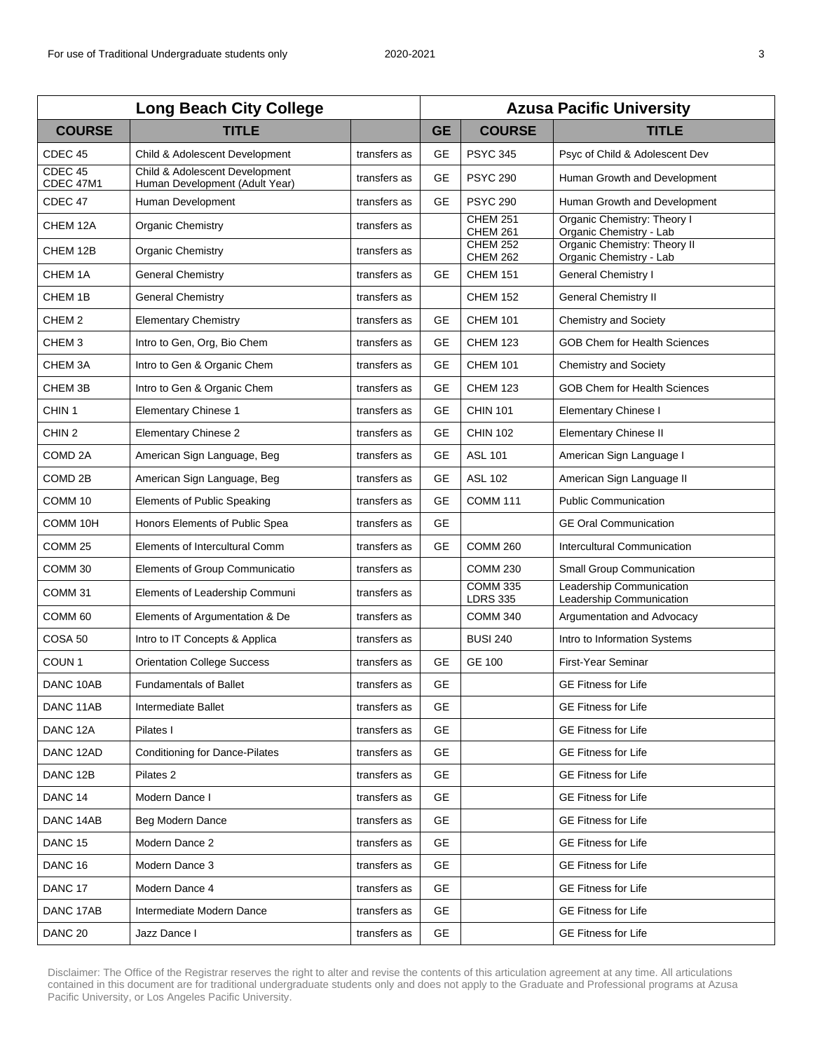| <b>Long Beach City College</b> |                                                                  |              | <b>Azusa Pacific University</b> |                                    |                                                         |  |
|--------------------------------|------------------------------------------------------------------|--------------|---------------------------------|------------------------------------|---------------------------------------------------------|--|
| <b>COURSE</b>                  | <b>TITLE</b>                                                     |              | <b>GE</b>                       | <b>COURSE</b>                      | <b>TITLE</b>                                            |  |
| CDEC <sub>45</sub>             | Child & Adolescent Development                                   | transfers as | <b>GE</b>                       | <b>PSYC 345</b>                    | Psyc of Child & Adolescent Dev                          |  |
| $CDEC$ 45<br>CDEC 47M1         | Child & Adolescent Development<br>Human Development (Adult Year) | transfers as | <b>GE</b>                       | <b>PSYC 290</b>                    | Human Growth and Development                            |  |
| CDEC <sub>47</sub>             | Human Development                                                | transfers as | <b>GE</b>                       | <b>PSYC 290</b>                    | Human Growth and Development                            |  |
| CHEM 12A                       | <b>Organic Chemistry</b>                                         | transfers as |                                 | <b>CHEM 251</b><br><b>CHEM 261</b> | Organic Chemistry: Theory I<br>Organic Chemistry - Lab  |  |
| CHEM 12B                       | <b>Organic Chemistry</b>                                         | transfers as |                                 | <b>CHEM 252</b><br><b>CHEM 262</b> | Organic Chemistry: Theory II<br>Organic Chemistry - Lab |  |
| CHEM <sub>1</sub> A            | <b>General Chemistry</b>                                         | transfers as | <b>GE</b>                       | <b>CHEM 151</b>                    | <b>General Chemistry I</b>                              |  |
| CHEM 1B                        | General Chemistry                                                | transfers as |                                 | <b>CHEM 152</b>                    | <b>General Chemistry II</b>                             |  |
| CHEM <sub>2</sub>              | <b>Elementary Chemistry</b>                                      | transfers as | <b>GE</b>                       | <b>CHEM 101</b>                    | <b>Chemistry and Society</b>                            |  |
| CHEM <sub>3</sub>              | Intro to Gen, Org, Bio Chem                                      | transfers as | GE                              | <b>CHEM 123</b>                    | <b>GOB Chem for Health Sciences</b>                     |  |
| CHEM <sub>3</sub> A            | Intro to Gen & Organic Chem                                      | transfers as | <b>GE</b>                       | <b>CHEM 101</b>                    | <b>Chemistry and Society</b>                            |  |
| CHEM 3B                        | Intro to Gen & Organic Chem                                      | transfers as | <b>GE</b>                       | <b>CHEM 123</b>                    | <b>GOB Chem for Health Sciences</b>                     |  |
| CHIN <sub>1</sub>              | <b>Elementary Chinese 1</b>                                      | transfers as | <b>GE</b>                       | <b>CHIN 101</b>                    | Elementary Chinese I                                    |  |
| CHIN <sub>2</sub>              | <b>Elementary Chinese 2</b>                                      | transfers as | <b>GE</b>                       | <b>CHIN 102</b>                    | <b>Elementary Chinese II</b>                            |  |
| COMD <sub>2A</sub>             | American Sign Language, Beg                                      | transfers as | <b>GE</b>                       | <b>ASL 101</b>                     | American Sign Language I                                |  |
| COMD <sub>2B</sub>             | American Sign Language, Beg                                      | transfers as | <b>GE</b>                       | <b>ASL 102</b>                     | American Sign Language II                               |  |
| COMM <sub>10</sub>             | Elements of Public Speaking                                      | transfers as | <b>GE</b>                       | <b>COMM 111</b>                    | <b>Public Communication</b>                             |  |
| COMM 10H                       | Honors Elements of Public Spea                                   | transfers as | <b>GE</b>                       |                                    | <b>GE Oral Communication</b>                            |  |
| COMM <sub>25</sub>             | Elements of Intercultural Comm                                   | transfers as | <b>GE</b>                       | <b>COMM 260</b>                    | Intercultural Communication                             |  |
| COMM <sub>30</sub>             | Elements of Group Communicatio                                   | transfers as |                                 | <b>COMM 230</b>                    | Small Group Communication                               |  |
| COMM <sub>31</sub>             | Elements of Leadership Communi                                   | transfers as |                                 | <b>COMM 335</b><br><b>LDRS 335</b> | Leadership Communication<br>Leadership Communication    |  |
| COMM <sub>60</sub>             | Elements of Argumentation & De                                   | transfers as |                                 | <b>COMM 340</b>                    | Argumentation and Advocacy                              |  |
| COSA 50                        | Intro to IT Concepts & Applica                                   | transfers as |                                 | <b>BUSI 240</b>                    | Intro to Information Systems                            |  |
| COUN <sub>1</sub>              | <b>Orientation College Success</b>                               | transfers as | <b>GE</b>                       | <b>GE 100</b>                      | First-Year Seminar                                      |  |
| DANC 10AB                      | <b>Fundamentals of Ballet</b>                                    | transfers as | <b>GE</b>                       |                                    | <b>GE Fitness for Life</b>                              |  |
| DANC 11AB                      | Intermediate Ballet                                              | transfers as | <b>GE</b>                       |                                    | <b>GE Fitness for Life</b>                              |  |
| DANC <sub>12A</sub>            | Pilates I                                                        | transfers as | <b>GE</b>                       |                                    | <b>GE Fitness for Life</b>                              |  |
| DANC 12AD                      | <b>Conditioning for Dance-Pilates</b>                            | transfers as | <b>GE</b>                       |                                    | <b>GE Fitness for Life</b>                              |  |
| DANC <sub>12B</sub>            | Pilates 2                                                        | transfers as | GE.                             |                                    | <b>GE Fitness for Life</b>                              |  |
| DANC <sub>14</sub>             | Modern Dance I                                                   | transfers as | <b>GE</b>                       |                                    | <b>GE Fitness for Life</b>                              |  |
| DANC 14AB                      | Beg Modern Dance                                                 | transfers as | <b>GE</b>                       |                                    | <b>GE Fitness for Life</b>                              |  |
| DANC <sub>15</sub>             | Modern Dance 2                                                   | transfers as | <b>GE</b>                       |                                    | <b>GE Fitness for Life</b>                              |  |
| DANC <sub>16</sub>             | Modern Dance 3                                                   | transfers as | <b>GE</b>                       |                                    | <b>GE Fitness for Life</b>                              |  |
| DANC <sub>17</sub>             | Modern Dance 4                                                   | transfers as | <b>GE</b>                       |                                    | <b>GE Fitness for Life</b>                              |  |
| DANC 17AB                      | Intermediate Modern Dance                                        | transfers as | GE.                             |                                    | <b>GE Fitness for Life</b>                              |  |
| DANC <sub>20</sub>             | Jazz Dance I                                                     | transfers as | GE                              |                                    | <b>GE Fitness for Life</b>                              |  |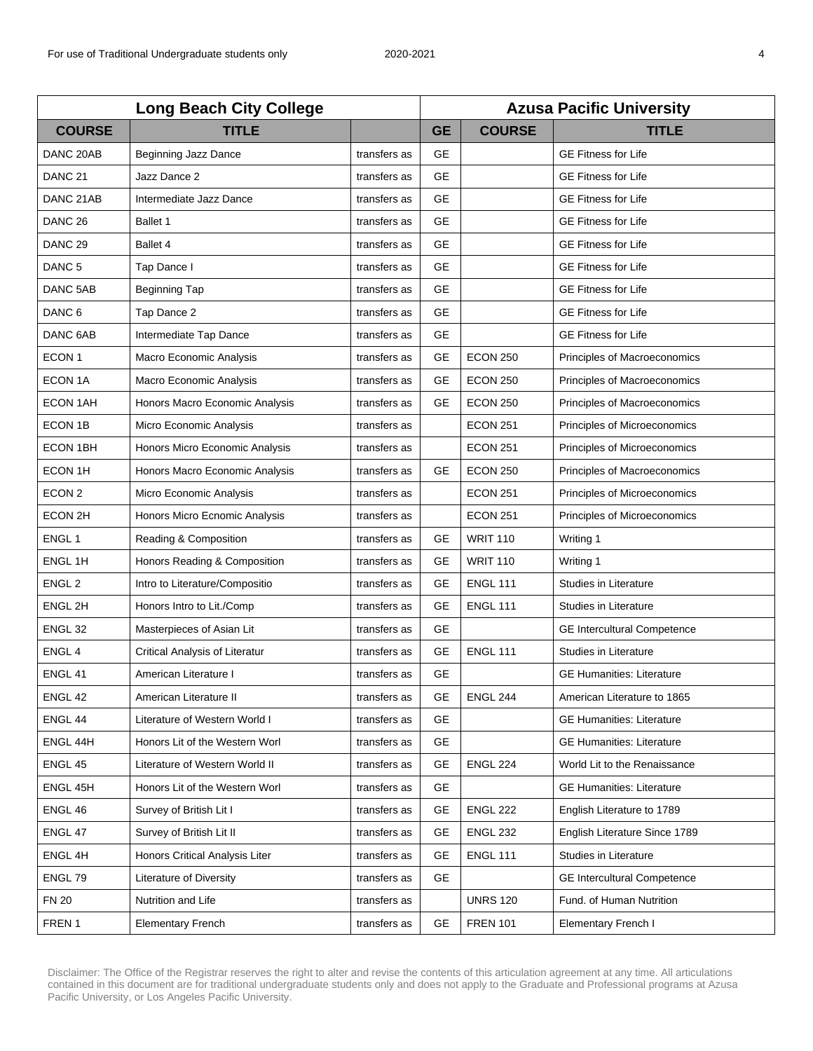| <b>Long Beach City College</b> |                                |              | <b>Azusa Pacific University</b> |                 |                                    |  |
|--------------------------------|--------------------------------|--------------|---------------------------------|-----------------|------------------------------------|--|
| <b>COURSE</b>                  | <b>TITLE</b>                   |              | <b>GE</b>                       | <b>COURSE</b>   | <b>TITLE</b>                       |  |
| DANC 20AB                      | <b>Beginning Jazz Dance</b>    | transfers as | <b>GE</b>                       |                 | <b>GE Fitness for Life</b>         |  |
| DANC <sub>21</sub>             | Jazz Dance 2                   | transfers as | <b>GE</b>                       |                 | <b>GE Fitness for Life</b>         |  |
| DANC 21AB                      | Intermediate Jazz Dance        | transfers as | <b>GE</b>                       |                 | <b>GE Fitness for Life</b>         |  |
| DANC <sub>26</sub>             | Ballet 1                       | transfers as | GE                              |                 | <b>GE Fitness for Life</b>         |  |
| DANC <sub>29</sub>             | Ballet 4                       | transfers as | <b>GE</b>                       |                 | <b>GE Fitness for Life</b>         |  |
| DANC <sub>5</sub>              | Tap Dance I                    | transfers as | <b>GE</b>                       |                 | <b>GE Fitness for Life</b>         |  |
| DANC 5AB                       | Beginning Tap                  | transfers as | <b>GE</b>                       |                 | <b>GE Fitness for Life</b>         |  |
| DANC <sub>6</sub>              | Tap Dance 2                    | transfers as | <b>GE</b>                       |                 | <b>GE Fitness for Life</b>         |  |
| DANC 6AB                       | Intermediate Tap Dance         | transfers as | <b>GE</b>                       |                 | <b>GE Fitness for Life</b>         |  |
| ECON <sub>1</sub>              | Macro Economic Analysis        | transfers as | <b>GE</b>                       | <b>ECON 250</b> | Principles of Macroeconomics       |  |
| ECON 1A                        | Macro Economic Analysis        | transfers as | <b>GE</b>                       | <b>ECON 250</b> | Principles of Macroeconomics       |  |
| <b>ECON 1AH</b>                | Honors Macro Economic Analysis | transfers as | <b>GE</b>                       | <b>ECON 250</b> | Principles of Macroeconomics       |  |
| ECON 1B                        | Micro Economic Analysis        | transfers as |                                 | <b>ECON 251</b> | Principles of Microeconomics       |  |
| ECON 1BH                       | Honors Micro Economic Analysis | transfers as |                                 | <b>ECON 251</b> | Principles of Microeconomics       |  |
| ECON 1H                        | Honors Macro Economic Analysis | transfers as | <b>GE</b>                       | <b>ECON 250</b> | Principles of Macroeconomics       |  |
| ECON <sub>2</sub>              | Micro Economic Analysis        | transfers as |                                 | <b>ECON 251</b> | Principles of Microeconomics       |  |
| ECON 2H                        | Honors Micro Ecnomic Analysis  | transfers as |                                 | <b>ECON 251</b> | Principles of Microeconomics       |  |
| ENGL <sub>1</sub>              | Reading & Composition          | transfers as | <b>GE</b>                       | <b>WRIT 110</b> | Writing 1                          |  |
| ENGL 1H                        | Honors Reading & Composition   | transfers as | GE                              | <b>WRIT 110</b> | Writing 1                          |  |
| ENGL <sub>2</sub>              | Intro to Literature/Compositio | transfers as | <b>GE</b>                       | <b>ENGL 111</b> | <b>Studies in Literature</b>       |  |
| ENGL 2H                        | Honors Intro to Lit./Comp      | transfers as | <b>GE</b>                       | <b>ENGL 111</b> | Studies in Literature              |  |
| ENGL <sub>32</sub>             | Masterpieces of Asian Lit      | transfers as | <b>GE</b>                       |                 | <b>GE Intercultural Competence</b> |  |
| ENGL 4                         | Critical Analysis of Literatur | transfers as | <b>GE</b>                       | <b>ENGL 111</b> | Studies in Literature              |  |
| ENGL 41                        | American Literature I          | transfers as | GE                              |                 | <b>GE Humanities: Literature</b>   |  |
| ENGL 42                        | American Literature II         | transfers as | GE                              | <b>ENGL 244</b> | American Literature to 1865        |  |
| ENGL 44                        | Literature of Western World I  | transfers as | <b>GE</b>                       |                 | <b>GE Humanities: Literature</b>   |  |
| ENGL 44H                       | Honors Lit of the Western Worl | transfers as | <b>GE</b>                       |                 | <b>GE Humanities: Literature</b>   |  |
| ENGL 45                        | Literature of Western World II | transfers as | <b>GE</b>                       | <b>ENGL 224</b> | World Lit to the Renaissance       |  |
| ENGL 45H                       | Honors Lit of the Western Worl | transfers as | <b>GE</b>                       |                 | <b>GE Humanities: Literature</b>   |  |
| ENGL 46                        | Survey of British Lit I        | transfers as | GE                              | <b>ENGL 222</b> | English Literature to 1789         |  |
| ENGL 47                        | Survey of British Lit II       | transfers as | GE                              | <b>ENGL 232</b> | English Literature Since 1789      |  |
| ENGL 4H                        | Honors Critical Analysis Liter | transfers as | GE                              | <b>ENGL 111</b> | Studies in Literature              |  |
| ENGL 79                        | Literature of Diversity        | transfers as | <b>GE</b>                       |                 | <b>GE Intercultural Competence</b> |  |
| <b>FN 20</b>                   | Nutrition and Life             | transfers as |                                 | <b>UNRS 120</b> | Fund. of Human Nutrition           |  |
| FREN 1                         | <b>Elementary French</b>       | transfers as | <b>GE</b>                       | <b>FREN 101</b> | Elementary French I                |  |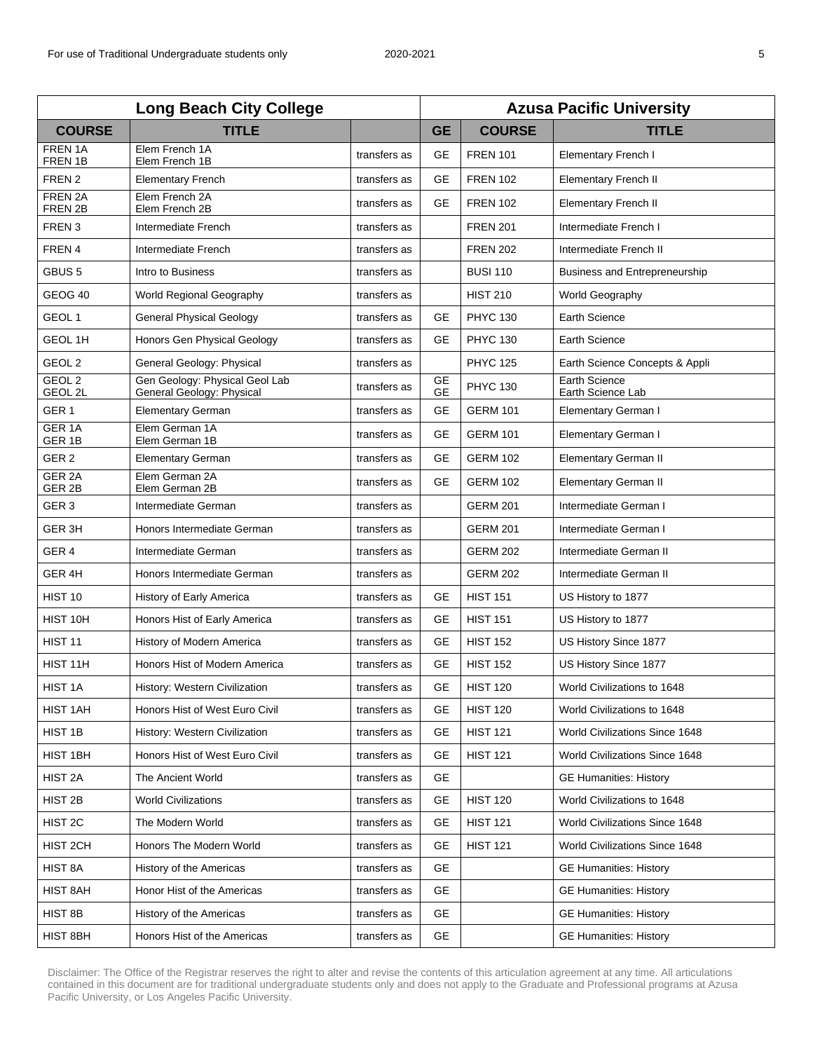| <b>Long Beach City College</b>         |                                                             |              | <b>Azusa Pacific University</b> |                 |                                           |  |
|----------------------------------------|-------------------------------------------------------------|--------------|---------------------------------|-----------------|-------------------------------------------|--|
| <b>COURSE</b>                          | <b>TITLE</b>                                                |              | <b>GE</b>                       | <b>COURSE</b>   | <b>TITLE</b>                              |  |
| FREN 1A<br>FREN 1B                     | Elem French 1A<br>Elem French 1B                            | transfers as | <b>GE</b>                       | <b>FREN 101</b> | <b>Elementary French I</b>                |  |
| FREN 2                                 | <b>Elementary French</b>                                    | transfers as | <b>GE</b>                       | <b>FREN 102</b> | <b>Elementary French II</b>               |  |
| FREN 2A<br>FREN 2B                     | Elem French 2A<br>Elem French 2B                            | transfers as | <b>GE</b>                       | <b>FREN 102</b> | <b>Elementary French II</b>               |  |
| FREN <sub>3</sub>                      | Intermediate French                                         | transfers as |                                 | <b>FREN 201</b> | Intermediate French I                     |  |
| FREN 4                                 | Intermediate French                                         | transfers as |                                 | <b>FREN 202</b> | Intermediate French II                    |  |
| GBUS <sub>5</sub>                      | Intro to Business                                           | transfers as |                                 | <b>BUSI 110</b> | Business and Entrepreneurship             |  |
| GEOG 40                                | World Regional Geography                                    | transfers as |                                 | <b>HIST 210</b> | World Geography                           |  |
| GEOL <sub>1</sub>                      | <b>General Physical Geology</b>                             | transfers as | <b>GE</b>                       | <b>PHYC 130</b> | <b>Earth Science</b>                      |  |
| <b>GEOL 1H</b>                         | Honors Gen Physical Geology                                 | transfers as | <b>GE</b>                       | <b>PHYC 130</b> | <b>Earth Science</b>                      |  |
| GEOL <sub>2</sub>                      | General Geology: Physical                                   | transfers as |                                 | <b>PHYC 125</b> | Earth Science Concepts & Appli            |  |
| GEOL <sub>2</sub><br>GEOL 2L           | Gen Geology: Physical Geol Lab<br>General Geology: Physical | transfers as | <b>GE</b><br><b>GE</b>          | <b>PHYC 130</b> | <b>Earth Science</b><br>Earth Science Lab |  |
| GER <sub>1</sub>                       | <b>Elementary German</b>                                    | transfers as | <b>GE</b>                       | <b>GERM 101</b> | <b>Elementary German I</b>                |  |
| GER <sub>1A</sub><br>GER 1B            | Elem German 1A<br>Elem German 1B                            | transfers as | <b>GE</b>                       | <b>GERM 101</b> | <b>Elementary German I</b>                |  |
| GER <sub>2</sub>                       | <b>Elementary German</b>                                    | transfers as | <b>GE</b>                       | <b>GERM 102</b> | <b>Elementary German II</b>               |  |
| GER <sub>2A</sub><br>GER <sub>2B</sub> | Elem German 2A<br>Elem German 2B                            | transfers as | GE                              | <b>GERM 102</b> | <b>Elementary German II</b>               |  |
| GER <sub>3</sub>                       | Intermediate German                                         | transfers as |                                 | <b>GERM 201</b> | Intermediate German I                     |  |
| GER <sub>3H</sub>                      | Honors Intermediate German                                  | transfers as |                                 | <b>GERM 201</b> | Intermediate German I                     |  |
| GER <sub>4</sub>                       | Intermediate German                                         | transfers as |                                 | <b>GERM 202</b> | Intermediate German II                    |  |
| GER <sub>4H</sub>                      | Honors Intermediate German                                  | transfers as |                                 | <b>GERM 202</b> | Intermediate German II                    |  |
| HIST 10                                | History of Early America                                    | transfers as | <b>GE</b>                       | <b>HIST 151</b> | US History to 1877                        |  |
| HIST 10H                               | Honors Hist of Early America                                | transfers as | <b>GE</b>                       | <b>HIST 151</b> | US History to 1877                        |  |
| HIST <sub>11</sub>                     | History of Modern America                                   | transfers as | <b>GE</b>                       | <b>HIST 152</b> | US History Since 1877                     |  |
| HIST 11H                               | Honors Hist of Modern America                               | transfers as | <b>GE</b>                       | <b>HIST 152</b> | US History Since 1877                     |  |
| HIST <sub>1</sub> A                    | History: Western Civilization                               | transfers as | <b>GE</b>                       | <b>HIST 120</b> | World Civilizations to 1648               |  |
| HIST 1AH                               | Honors Hist of West Euro Civil                              | transfers as | GE                              | <b>HIST 120</b> | World Civilizations to 1648               |  |
| HIST 1B                                | History: Western Civilization                               | transfers as | <b>GE</b>                       | <b>HIST 121</b> | World Civilizations Since 1648            |  |
| HIST 1BH                               | Honors Hist of West Euro Civil                              | transfers as | GE                              | <b>HIST 121</b> | World Civilizations Since 1648            |  |
| HIST <sub>2A</sub>                     | The Ancient World                                           | transfers as | GE                              |                 | <b>GE Humanities: History</b>             |  |
| HIST <sub>2B</sub>                     | <b>World Civilizations</b>                                  | transfers as | GЕ                              | <b>HIST 120</b> | World Civilizations to 1648               |  |
| HIST <sub>2C</sub>                     | The Modern World                                            | transfers as | GE                              | <b>HIST 121</b> | World Civilizations Since 1648            |  |
| HIST 2CH                               | Honors The Modern World                                     | transfers as | <b>GE</b>                       | <b>HIST 121</b> | World Civilizations Since 1648            |  |
| HIST 8A                                | History of the Americas                                     | transfers as | <b>GE</b>                       |                 | <b>GE Humanities: History</b>             |  |
| HIST 8AH                               | Honor Hist of the Americas                                  | transfers as | <b>GE</b>                       |                 | <b>GE Humanities: History</b>             |  |
| HIST 8B                                | History of the Americas                                     | transfers as | <b>GE</b>                       |                 | <b>GE Humanities: History</b>             |  |
| HIST 8BH                               | Honors Hist of the Americas                                 | transfers as | GE                              |                 | <b>GE Humanities: History</b>             |  |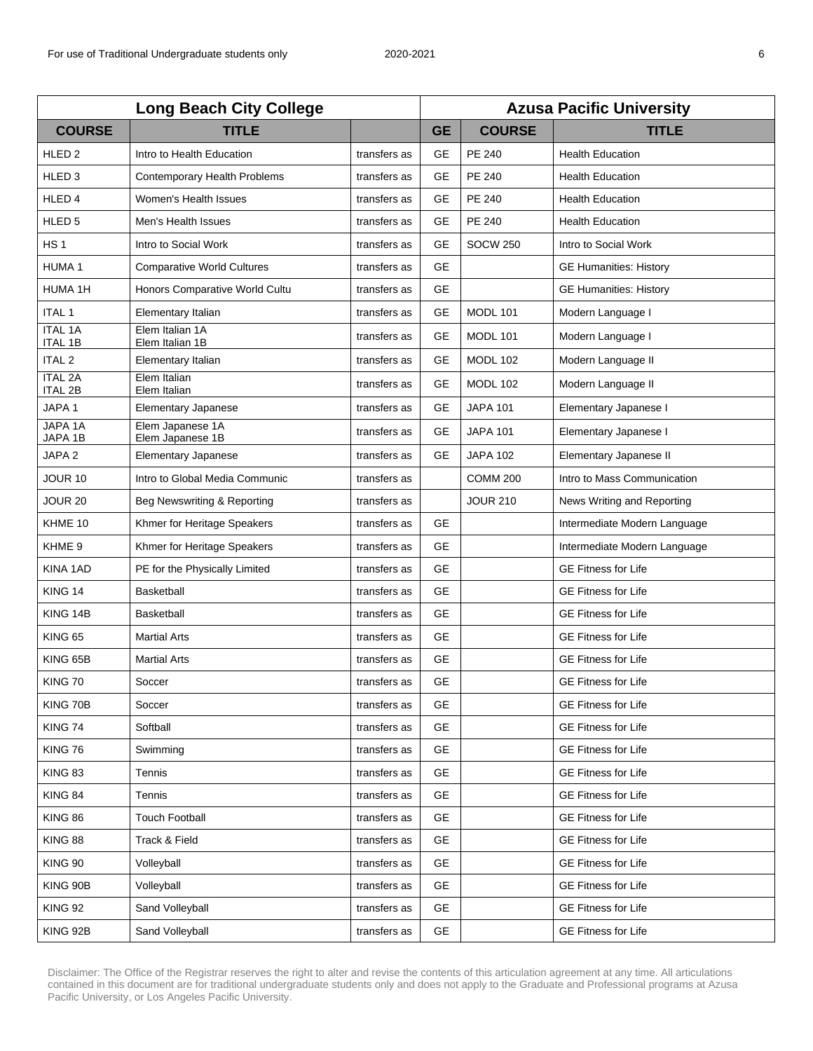| <b>Long Beach City College</b>   |                                      |              | <b>Azusa Pacific University</b> |                 |                               |  |
|----------------------------------|--------------------------------------|--------------|---------------------------------|-----------------|-------------------------------|--|
| <b>COURSE</b>                    | <b>TITLE</b>                         |              | <b>GE</b>                       | <b>COURSE</b>   | <b>TITLE</b>                  |  |
| HLED <sub>2</sub>                | Intro to Health Education            | transfers as | <b>GE</b>                       | <b>PE 240</b>   | <b>Health Education</b>       |  |
| HLED <sub>3</sub>                | Contemporary Health Problems         | transfers as | <b>GE</b>                       | PE 240          | <b>Health Education</b>       |  |
| HLED <sub>4</sub>                | Women's Health Issues                | transfers as | <b>GE</b>                       | <b>PE 240</b>   | <b>Health Education</b>       |  |
| HLED <sub>5</sub>                | Men's Health Issues                  | transfers as | <b>GE</b>                       | <b>PE 240</b>   | <b>Health Education</b>       |  |
| HS <sub>1</sub>                  | Intro to Social Work                 | transfers as | <b>GE</b>                       | <b>SOCW 250</b> | Intro to Social Work          |  |
| <b>HUMA1</b>                     | <b>Comparative World Cultures</b>    | transfers as | <b>GE</b>                       |                 | <b>GE Humanities: History</b> |  |
| HUMA 1H                          | Honors Comparative World Cultu       | transfers as | <b>GE</b>                       |                 | <b>GE Humanities: History</b> |  |
| <b>ITAL 1</b>                    | Elementary Italian                   | transfers as | GE                              | <b>MODL 101</b> | Modern Language I             |  |
| <b>ITAL 1A</b><br><b>ITAL 1B</b> | Elem Italian 1A<br>Elem Italian 1B   | transfers as | GE                              | MODL 101        | Modern Language I             |  |
| <b>ITAL 2</b>                    | Elementary Italian                   | transfers as | GE                              | <b>MODL 102</b> | Modern Language II            |  |
| <b>ITAL 2A</b><br><b>ITAL 2B</b> | Elem Italian<br>Elem Italian         | transfers as | <b>GE</b>                       | <b>MODL 102</b> | Modern Language II            |  |
| JAPA 1                           | <b>Elementary Japanese</b>           | transfers as | GE                              | <b>JAPA 101</b> | Elementary Japanese I         |  |
| JAPA 1A<br>JAPA 1B               | Elem Japanese 1A<br>Elem Japanese 1B | transfers as | <b>GE</b>                       | <b>JAPA 101</b> | Elementary Japanese I         |  |
| JAPA <sub>2</sub>                | Elementary Japanese                  | transfers as | <b>GE</b>                       | <b>JAPA 102</b> | Elementary Japanese II        |  |
| JOUR 10                          | Intro to Global Media Communic       | transfers as |                                 | <b>COMM 200</b> | Intro to Mass Communication   |  |
| <b>JOUR 20</b>                   | Beg Newswriting & Reporting          | transfers as |                                 | <b>JOUR 210</b> | News Writing and Reporting    |  |
| KHME 10                          | Khmer for Heritage Speakers          | transfers as | <b>GE</b>                       |                 | Intermediate Modern Language  |  |
| KHME <sub>9</sub>                | Khmer for Heritage Speakers          | transfers as | <b>GE</b>                       |                 | Intermediate Modern Language  |  |
| KINA 1AD                         | PE for the Physically Limited        | transfers as | <b>GE</b>                       |                 | <b>GE Fitness for Life</b>    |  |
| KING 14                          | <b>Basketball</b>                    | transfers as | <b>GE</b>                       |                 | <b>GE Fitness for Life</b>    |  |
| KING 14B                         | Basketball                           | transfers as | <b>GE</b>                       |                 | <b>GE Fitness for Life</b>    |  |
| <b>KING 65</b>                   | <b>Martial Arts</b>                  | transfers as | <b>GE</b>                       |                 | <b>GE Fitness for Life</b>    |  |
| KING 65B                         | <b>Martial Arts</b>                  | transfers as | <b>GE</b>                       |                 | <b>GE Fitness for Life</b>    |  |
| <b>KING 70</b>                   | Soccer                               | transfers as | GE                              |                 | <b>GE Fitness for Life</b>    |  |
| KING 70B                         | Soccer                               | transfers as | <b>GE</b>                       |                 | <b>GE Fitness for Life</b>    |  |
| KING 74                          | Softball                             | transfers as | <b>GE</b>                       |                 | <b>GE Fitness for Life</b>    |  |
| KING 76                          | Swimming                             | transfers as | <b>GE</b>                       |                 | <b>GE Fitness for Life</b>    |  |
| KING 83                          | Tennis                               | transfers as | <b>GE</b>                       |                 | <b>GE Fitness for Life</b>    |  |
| KING 84                          | Tennis                               | transfers as | <b>GE</b>                       |                 | <b>GE Fitness for Life</b>    |  |
| <b>KING 86</b>                   | <b>Touch Football</b>                | transfers as | <b>GE</b>                       |                 | <b>GE Fitness for Life</b>    |  |
| <b>KING 88</b>                   | Track & Field                        | transfers as | GE.                             |                 | <b>GE Fitness for Life</b>    |  |
| <b>KING 90</b>                   | Volleyball                           | transfers as | <b>GE</b>                       |                 | <b>GE Fitness for Life</b>    |  |
| KING 90B                         | Volleyball                           | transfers as | GE                              |                 | <b>GE Fitness for Life</b>    |  |
| <b>KING 92</b>                   | Sand Volleyball                      | transfers as | <b>GE</b>                       |                 | <b>GE Fitness for Life</b>    |  |
| KING 92B                         | Sand Volleyball                      | transfers as | <b>GE</b>                       |                 | <b>GE Fitness for Life</b>    |  |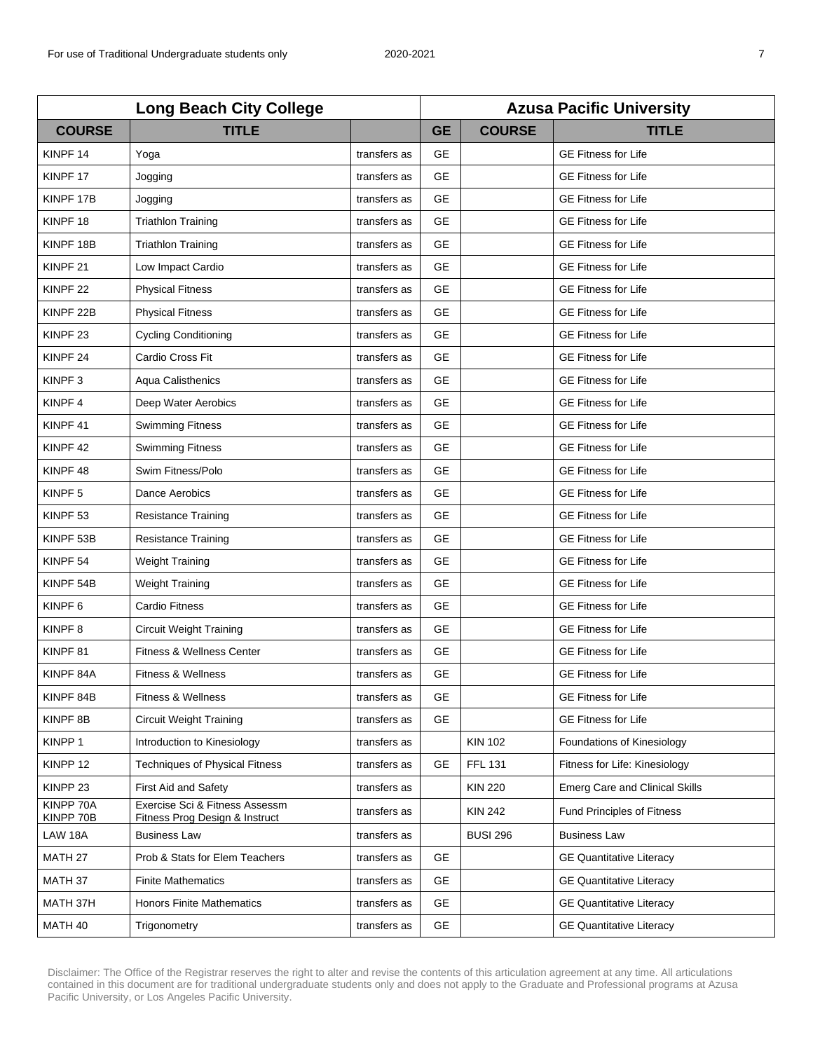| <b>Long Beach City College</b> |                                                                  |              | <b>Azusa Pacific University</b> |                 |                                       |  |
|--------------------------------|------------------------------------------------------------------|--------------|---------------------------------|-----------------|---------------------------------------|--|
| <b>COURSE</b>                  | <b>TITLE</b>                                                     |              | <b>GE</b>                       | <b>COURSE</b>   | <b>TITLE</b>                          |  |
| KINPF <sub>14</sub>            | Yoga                                                             | transfers as | <b>GE</b>                       |                 | <b>GE Fitness for Life</b>            |  |
| KINPF <sub>17</sub>            | Jogging                                                          | transfers as | <b>GE</b>                       |                 | <b>GE Fitness for Life</b>            |  |
| KINPF 17B                      | Jogging                                                          | transfers as | <b>GE</b>                       |                 | <b>GE Fitness for Life</b>            |  |
| KINPF <sub>18</sub>            | <b>Triathlon Training</b>                                        | transfers as | <b>GE</b>                       |                 | <b>GE Fitness for Life</b>            |  |
| KINPF <sub>18B</sub>           | <b>Triathlon Training</b>                                        | transfers as | <b>GE</b>                       |                 | <b>GE Fitness for Life</b>            |  |
| KINPF <sub>21</sub>            | Low Impact Cardio                                                | transfers as | <b>GE</b>                       |                 | <b>GE Fitness for Life</b>            |  |
| KINPF <sub>22</sub>            | <b>Physical Fitness</b>                                          | transfers as | <b>GE</b>                       |                 | <b>GE Fitness for Life</b>            |  |
| KINPF <sub>22B</sub>           | <b>Physical Fitness</b>                                          | transfers as | <b>GE</b>                       |                 | <b>GE Fitness for Life</b>            |  |
| KINPF <sub>23</sub>            | <b>Cycling Conditioning</b>                                      | transfers as | <b>GE</b>                       |                 | <b>GE Fitness for Life</b>            |  |
| KINPF <sub>24</sub>            | Cardio Cross Fit                                                 | transfers as | <b>GE</b>                       |                 | <b>GE Fitness for Life</b>            |  |
| KINPF <sub>3</sub>             | Aqua Calisthenics                                                | transfers as | <b>GE</b>                       |                 | <b>GE Fitness for Life</b>            |  |
| KINPF <sub>4</sub>             | Deep Water Aerobics                                              | transfers as | <b>GE</b>                       |                 | <b>GE Fitness for Life</b>            |  |
| KINPF <sub>41</sub>            | <b>Swimming Fitness</b>                                          | transfers as | <b>GE</b>                       |                 | <b>GE Fitness for Life</b>            |  |
| KINPF 42                       | <b>Swimming Fitness</b>                                          | transfers as | <b>GE</b>                       |                 | <b>GE Fitness for Life</b>            |  |
| KINPF <sub>48</sub>            | Swim Fitness/Polo                                                | transfers as | <b>GE</b>                       |                 | <b>GE Fitness for Life</b>            |  |
| KINPF <sub>5</sub>             | Dance Aerobics                                                   | transfers as | <b>GE</b>                       |                 | <b>GE Fitness for Life</b>            |  |
| KINPF <sub>53</sub>            | <b>Resistance Training</b>                                       | transfers as | <b>GE</b>                       |                 | <b>GE Fitness for Life</b>            |  |
| KINPF 53B                      | <b>Resistance Training</b>                                       | transfers as | <b>GE</b>                       |                 | <b>GE Fitness for Life</b>            |  |
| KINPF <sub>54</sub>            | Weight Training                                                  | transfers as | <b>GE</b>                       |                 | <b>GE Fitness for Life</b>            |  |
| KINPF 54B                      | <b>Weight Training</b>                                           | transfers as | <b>GE</b>                       |                 | <b>GE Fitness for Life</b>            |  |
| KINPF <sub>6</sub>             | <b>Cardio Fitness</b>                                            | transfers as | <b>GE</b>                       |                 | <b>GE Fitness for Life</b>            |  |
| KINPF <sub>8</sub>             | <b>Circuit Weight Training</b>                                   | transfers as | <b>GE</b>                       |                 | <b>GE Fitness for Life</b>            |  |
| KINPF <sub>81</sub>            | Fitness & Wellness Center                                        | transfers as | <b>GE</b>                       |                 | <b>GE Fitness for Life</b>            |  |
| KINPF 84A                      | Fitness & Wellness                                               | transfers as | <b>GE</b>                       |                 | <b>GE Fitness for Life</b>            |  |
| KINPF 84B                      | <b>Fitness &amp; Wellness</b>                                    | transfers as | <b>GE</b>                       |                 | <b>GE Fitness for Life</b>            |  |
| KINPF <sub>8B</sub>            | <b>Circuit Weight Training</b>                                   | transfers as | <b>GE</b>                       |                 | <b>GE Fitness for Life</b>            |  |
| KINPP 1                        | Introduction to Kinesiology                                      | transfers as |                                 | <b>KIN 102</b>  | Foundations of Kinesiology            |  |
| KINPP 12                       | <b>Techniques of Physical Fitness</b>                            | transfers as | <b>GE</b>                       | <b>FFL 131</b>  | Fitness for Life: Kinesiology         |  |
| KINPP 23                       | First Aid and Safety                                             | transfers as |                                 | <b>KIN 220</b>  | <b>Emerg Care and Clinical Skills</b> |  |
| KINPP 70A<br>KINPP 70B         | Exercise Sci & Fitness Assessm<br>Fitness Prog Design & Instruct | transfers as |                                 | <b>KIN 242</b>  | <b>Fund Principles of Fitness</b>     |  |
| LAW 18A                        | <b>Business Law</b>                                              | transfers as |                                 | <b>BUSI 296</b> | <b>Business Law</b>                   |  |
| MATH 27                        | Prob & Stats for Elem Teachers                                   | transfers as | <b>GE</b>                       |                 | <b>GE Quantitative Literacy</b>       |  |
| MATH 37                        | <b>Finite Mathematics</b>                                        | transfers as | <b>GE</b>                       |                 | <b>GE Quantitative Literacy</b>       |  |
| MATH 37H                       | <b>Honors Finite Mathematics</b>                                 | transfers as | <b>GE</b>                       |                 | <b>GE Quantitative Literacy</b>       |  |
| MATH 40                        | Trigonometry                                                     | transfers as | <b>GE</b>                       |                 | <b>GE Quantitative Literacy</b>       |  |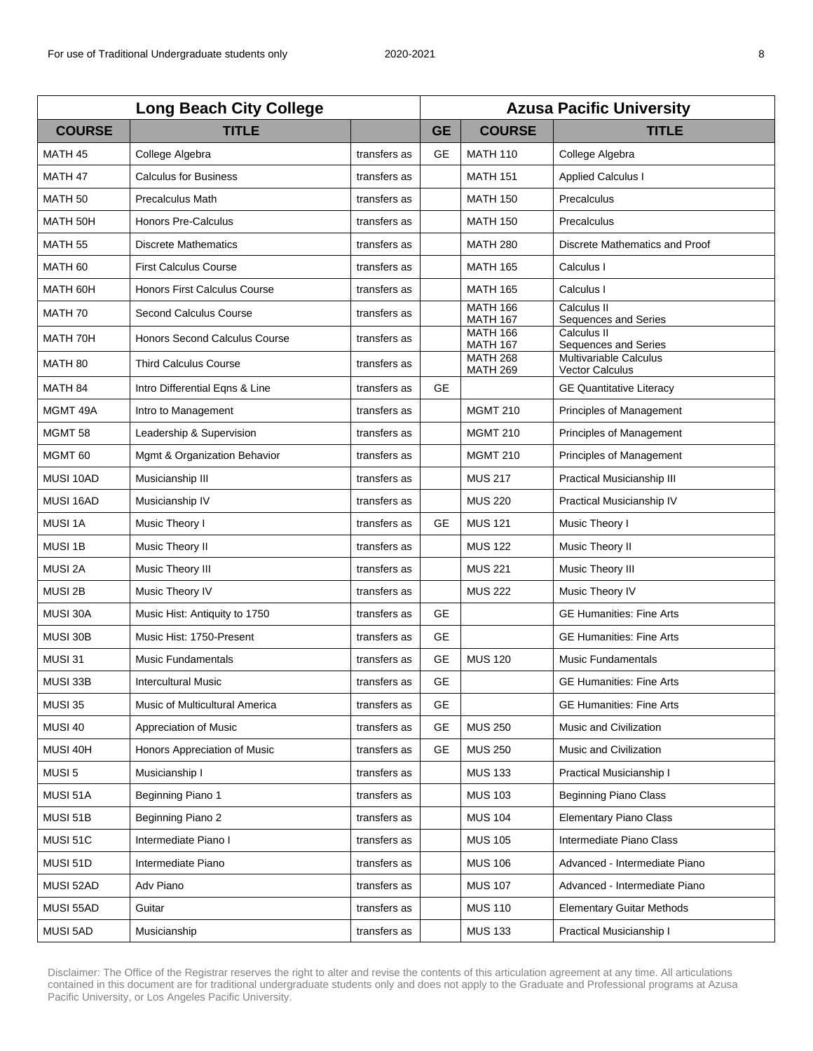| <b>Long Beach City College</b> |                                |              | <b>Azusa Pacific University</b> |                                    |                                                  |  |
|--------------------------------|--------------------------------|--------------|---------------------------------|------------------------------------|--------------------------------------------------|--|
| <b>COURSE</b>                  | <b>TITLE</b>                   |              | <b>GE</b>                       | <b>COURSE</b>                      | <b>TITLE</b>                                     |  |
| MATH <sub>45</sub>             | College Algebra                | transfers as | <b>GE</b>                       | <b>MATH 110</b>                    | College Algebra                                  |  |
| MATH <sub>47</sub>             | <b>Calculus for Business</b>   | transfers as |                                 | <b>MATH 151</b>                    | <b>Applied Calculus I</b>                        |  |
| MATH <sub>50</sub>             | <b>Precalculus Math</b>        | transfers as |                                 | <b>MATH 150</b>                    | Precalculus                                      |  |
| MATH 50H                       | Honors Pre-Calculus            | transfers as |                                 | <b>MATH 150</b>                    | Precalculus                                      |  |
| MATH <sub>55</sub>             | <b>Discrete Mathematics</b>    | transfers as |                                 | <b>MATH 280</b>                    | Discrete Mathematics and Proof                   |  |
| MATH <sub>60</sub>             | <b>First Calculus Course</b>   | transfers as |                                 | <b>MATH 165</b>                    | Calculus I                                       |  |
| MATH 60H                       | Honors First Calculus Course   | transfers as |                                 | <b>MATH 165</b>                    | Calculus I                                       |  |
| MATH 70                        | Second Calculus Course         | transfers as |                                 | <b>MATH 166</b><br><b>MATH 167</b> | Calculus II<br>Sequences and Series              |  |
| MATH 70H                       | Honors Second Calculus Course  | transfers as |                                 | <b>MATH 166</b><br><b>MATH 167</b> | Calculus II<br>Sequences and Series              |  |
| MATH 80                        | <b>Third Calculus Course</b>   | transfers as |                                 | <b>MATH 268</b><br><b>MATH 269</b> | Multivariable Calculus<br><b>Vector Calculus</b> |  |
| MATH <sub>84</sub>             | Intro Differential Egns & Line | transfers as | <b>GE</b>                       |                                    | <b>GE Quantitative Literacy</b>                  |  |
| MGMT 49A                       | Intro to Management            | transfers as |                                 | <b>MGMT 210</b>                    | Principles of Management                         |  |
| MGMT <sub>58</sub>             | Leadership & Supervision       | transfers as |                                 | <b>MGMT 210</b>                    | Principles of Management                         |  |
| MGMT <sub>60</sub>             | Mgmt & Organization Behavior   | transfers as |                                 | <b>MGMT 210</b>                    | Principles of Management                         |  |
| MUSI 10AD                      | Musicianship III               | transfers as |                                 | <b>MUS 217</b>                     | Practical Musicianship III                       |  |
| MUSI 16AD                      | Musicianship IV                | transfers as |                                 | <b>MUS 220</b>                     | Practical Musicianship IV                        |  |
| MUSI 1A                        | Music Theory I                 | transfers as | <b>GE</b>                       | <b>MUS 121</b>                     | Music Theory I                                   |  |
| MUSI 1B                        | Music Theory II                | transfers as |                                 | <b>MUS 122</b>                     | Music Theory II                                  |  |
| MUSI 2A                        | Music Theory III               | transfers as |                                 | <b>MUS 221</b>                     | Music Theory III                                 |  |
| MUSI 2B                        | Music Theory IV                | transfers as |                                 | <b>MUS 222</b>                     | Music Theory IV                                  |  |
| MUSI 30A                       | Music Hist: Antiquity to 1750  | transfers as | <b>GE</b>                       |                                    | <b>GE Humanities: Fine Arts</b>                  |  |
| MUSI 30B                       | Music Hist: 1750-Present       | transfers as | <b>GE</b>                       |                                    | <b>GE Humanities: Fine Arts</b>                  |  |
| MUSI 31                        | <b>Music Fundamentals</b>      | transfers as | <b>GE</b>                       | <b>MUS 120</b>                     | <b>Music Fundamentals</b>                        |  |
| MUSI 33B                       | <b>Intercultural Music</b>     | transfers as | GE                              |                                    | <b>GE Humanities: Fine Arts</b>                  |  |
| <b>MUSI 35</b>                 | Music of Multicultural America | transfers as | GE                              |                                    | <b>GE Humanities: Fine Arts</b>                  |  |
| MUSI 40                        | Appreciation of Music          | transfers as | <b>GE</b>                       | <b>MUS 250</b>                     | Music and Civilization                           |  |
| MUSI 40H                       | Honors Appreciation of Music   | transfers as | <b>GE</b>                       | <b>MUS 250</b>                     | Music and Civilization                           |  |
| MUSI 5                         | Musicianship I                 | transfers as |                                 | <b>MUS 133</b>                     | Practical Musicianship I                         |  |
| MUSI 51A                       | Beginning Piano 1              | transfers as |                                 | <b>MUS 103</b>                     | <b>Beginning Piano Class</b>                     |  |
| MUSI 51B                       | Beginning Piano 2              | transfers as |                                 | <b>MUS 104</b>                     | <b>Elementary Piano Class</b>                    |  |
| MUSI 51C                       | Intermediate Piano I           | transfers as |                                 | <b>MUS 105</b>                     | Intermediate Piano Class                         |  |
| MUSI 51D                       | Intermediate Piano             | transfers as |                                 | <b>MUS 106</b>                     | Advanced - Intermediate Piano                    |  |
| MUSI 52AD                      | Adv Piano                      | transfers as |                                 | <b>MUS 107</b>                     | Advanced - Intermediate Piano                    |  |
| MUSI 55AD                      | Guitar                         | transfers as |                                 | <b>MUS 110</b>                     | <b>Elementary Guitar Methods</b>                 |  |
| MUSI 5AD                       | Musicianship                   | transfers as |                                 | <b>MUS 133</b>                     | Practical Musicianship I                         |  |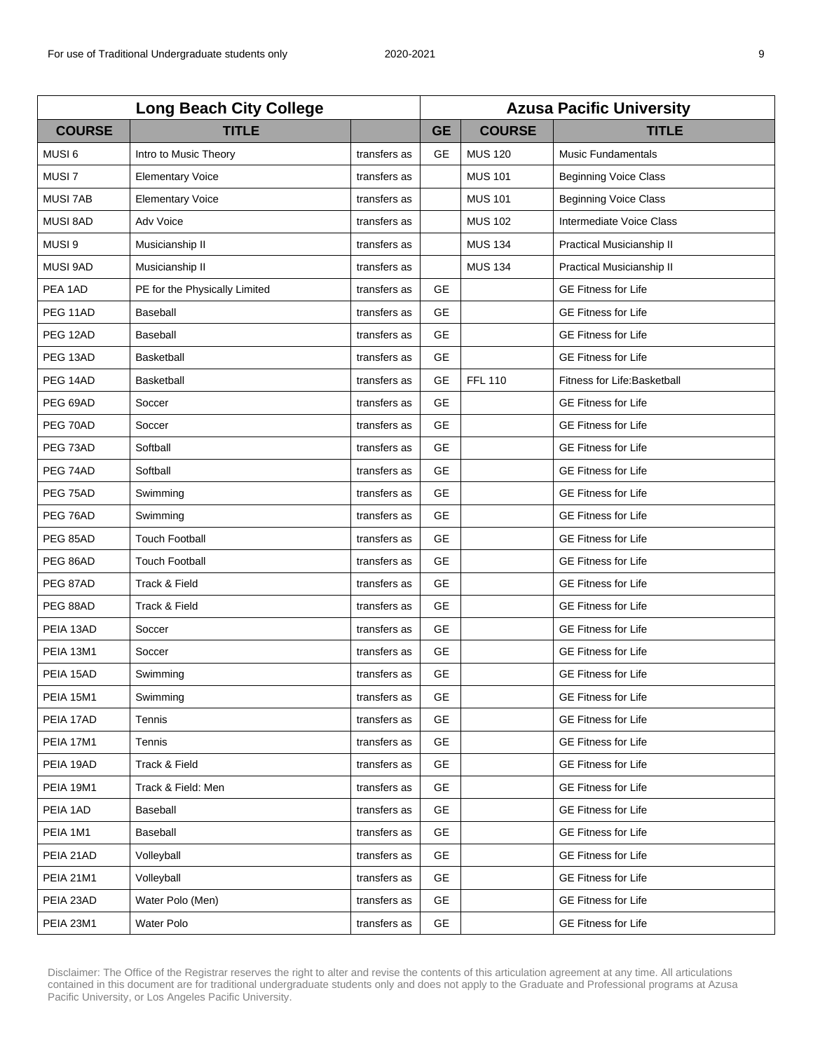| <b>Long Beach City College</b> |                               |              | <b>Azusa Pacific University</b> |                |                              |  |
|--------------------------------|-------------------------------|--------------|---------------------------------|----------------|------------------------------|--|
| <b>COURSE</b>                  | <b>TITLE</b>                  |              | <b>GE</b>                       | <b>COURSE</b>  | <b>TITLE</b>                 |  |
| MUSI <sub>6</sub>              | Intro to Music Theory         | transfers as | <b>GE</b>                       | <b>MUS 120</b> | <b>Music Fundamentals</b>    |  |
| MUSI <sub>7</sub>              | <b>Elementary Voice</b>       | transfers as |                                 | <b>MUS 101</b> | <b>Beginning Voice Class</b> |  |
| <b>MUSI 7AB</b>                | <b>Elementary Voice</b>       | transfers as |                                 | <b>MUS 101</b> | <b>Beginning Voice Class</b> |  |
| <b>MUSI 8AD</b>                | Adv Voice                     | transfers as |                                 | <b>MUS 102</b> | Intermediate Voice Class     |  |
| MUSI <sub>9</sub>              | Musicianship II               | transfers as |                                 | <b>MUS 134</b> | Practical Musicianship II    |  |
| <b>MUSI 9AD</b>                | Musicianship II               | transfers as |                                 | <b>MUS 134</b> | Practical Musicianship II    |  |
| PEA 1AD                        | PE for the Physically Limited | transfers as | <b>GE</b>                       |                | <b>GE Fitness for Life</b>   |  |
| PEG 11AD                       | Baseball                      | transfers as | <b>GE</b>                       |                | <b>GE Fitness for Life</b>   |  |
| PEG 12AD                       | Baseball                      | transfers as | <b>GE</b>                       |                | <b>GE Fitness for Life</b>   |  |
| PEG 13AD                       | Basketball                    | transfers as | <b>GE</b>                       |                | <b>GE Fitness for Life</b>   |  |
| PEG 14AD                       | <b>Basketball</b>             | transfers as | <b>GE</b>                       | <b>FFL 110</b> | Fitness for Life: Basketball |  |
| PEG 69AD                       | Soccer                        | transfers as | <b>GE</b>                       |                | <b>GE Fitness for Life</b>   |  |
| PEG 70AD                       | Soccer                        | transfers as | <b>GE</b>                       |                | <b>GE Fitness for Life</b>   |  |
| PEG 73AD                       | Softball                      | transfers as | <b>GE</b>                       |                | <b>GE Fitness for Life</b>   |  |
| PEG 74AD                       | Softball                      | transfers as | <b>GE</b>                       |                | <b>GE Fitness for Life</b>   |  |
| PEG 75AD                       | Swimming                      | transfers as | <b>GE</b>                       |                | <b>GE Fitness for Life</b>   |  |
| PEG 76AD                       | Swimming                      | transfers as | <b>GE</b>                       |                | <b>GE Fitness for Life</b>   |  |
| PEG 85AD                       | <b>Touch Football</b>         | transfers as | <b>GE</b>                       |                | <b>GE Fitness for Life</b>   |  |
| PEG 86AD                       | <b>Touch Football</b>         | transfers as | <b>GE</b>                       |                | <b>GE Fitness for Life</b>   |  |
| PEG 87AD                       | Track & Field                 | transfers as | <b>GE</b>                       |                | <b>GE Fitness for Life</b>   |  |
| PEG 88AD                       | Track & Field                 | transfers as | <b>GE</b>                       |                | <b>GE Fitness for Life</b>   |  |
| PEIA 13AD                      | Soccer                        | transfers as | <b>GE</b>                       |                | <b>GE Fitness for Life</b>   |  |
| PEIA 13M1                      | Soccer                        | transfers as | <b>GE</b>                       |                | <b>GE Fitness for Life</b>   |  |
| PEIA 15AD                      | Swimming                      | transfers as | GE                              |                | <b>GE Fitness for Life</b>   |  |
| <b>PEIA 15M1</b>               | Swimming                      | transfers as | <b>GE</b>                       |                | <b>GE Fitness for Life</b>   |  |
| PEIA 17AD                      | Tennis                        | transfers as | <b>GE</b>                       |                | <b>GE Fitness for Life</b>   |  |
| PEIA 17M1                      | Tennis                        | transfers as | <b>GE</b>                       |                | <b>GE Fitness for Life</b>   |  |
| PEIA 19AD                      | Track & Field                 | transfers as | <b>GE</b>                       |                | <b>GE Fitness for Life</b>   |  |
| PEIA 19M1                      | Track & Field: Men            | transfers as | <b>GE</b>                       |                | <b>GE Fitness for Life</b>   |  |
| PEIA 1AD                       | Baseball                      | transfers as | GE.                             |                | <b>GE Fitness for Life</b>   |  |
| PEIA 1M1                       | Baseball                      | transfers as | <b>GE</b>                       |                | <b>GE Fitness for Life</b>   |  |
| PEIA 21AD                      | Volleyball                    | transfers as | <b>GE</b>                       |                | <b>GE Fitness for Life</b>   |  |
| <b>PEIA 21M1</b>               | Volleyball                    | transfers as | <b>GE</b>                       |                | <b>GE Fitness for Life</b>   |  |
| PEIA 23AD                      | Water Polo (Men)              | transfers as | GE                              |                | <b>GE Fitness for Life</b>   |  |
| PEIA 23M1                      | Water Polo                    | transfers as | <b>GE</b>                       |                | <b>GE Fitness for Life</b>   |  |
|                                |                               |              |                                 |                |                              |  |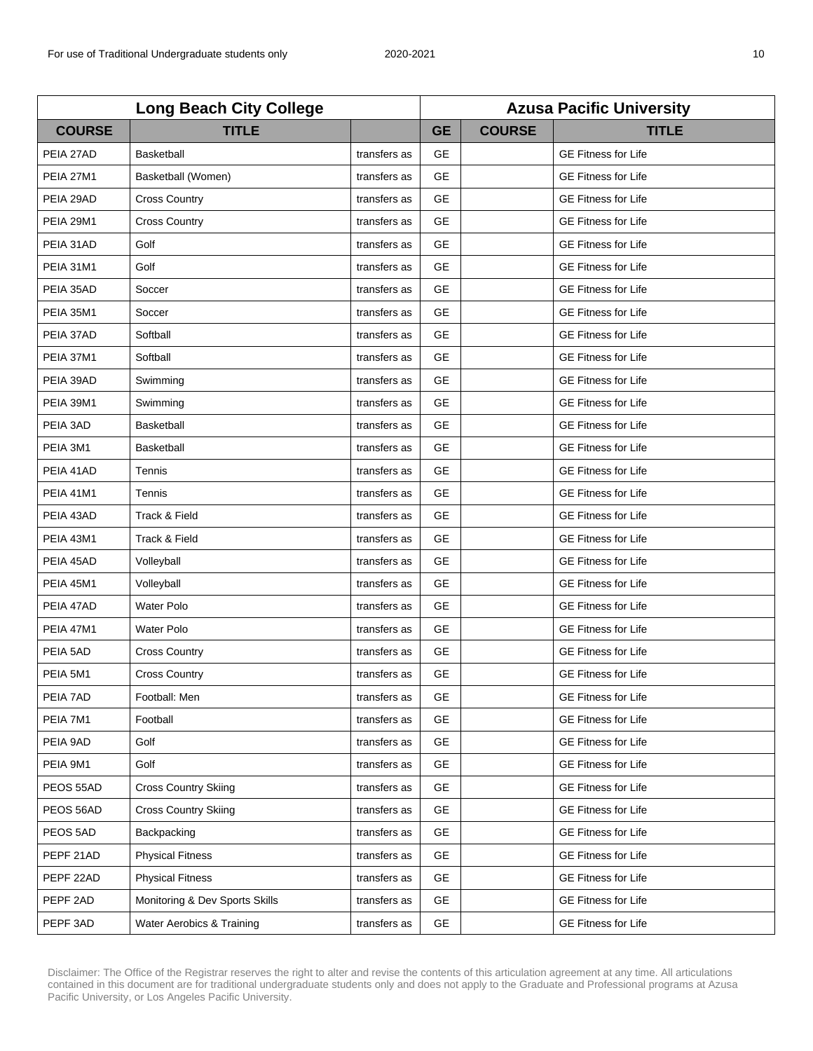| <b>Long Beach City College</b> |                                |              | <b>Azusa Pacific University</b> |               |                            |  |
|--------------------------------|--------------------------------|--------------|---------------------------------|---------------|----------------------------|--|
| <b>COURSE</b>                  | <b>TITLE</b>                   |              | <b>GE</b>                       | <b>COURSE</b> | <b>TITLE</b>               |  |
| PEIA 27AD                      | Basketball                     | transfers as | <b>GE</b>                       |               | <b>GE Fitness for Life</b> |  |
| <b>PEIA 27M1</b>               | Basketball (Women)             | transfers as | <b>GE</b>                       |               | <b>GE Fitness for Life</b> |  |
| PEIA 29AD                      | <b>Cross Country</b>           | transfers as | <b>GE</b>                       |               | <b>GE Fitness for Life</b> |  |
| <b>PEIA 29M1</b>               | <b>Cross Country</b>           | transfers as | <b>GE</b>                       |               | <b>GE Fitness for Life</b> |  |
| PEIA 31AD                      | Golf                           | transfers as | <b>GE</b>                       |               | <b>GE Fitness for Life</b> |  |
| PEIA 31M1                      | Golf                           | transfers as | <b>GE</b>                       |               | <b>GE Fitness for Life</b> |  |
| PEIA 35AD                      | Soccer                         | transfers as | <b>GE</b>                       |               | <b>GE Fitness for Life</b> |  |
| <b>PEIA 35M1</b>               | Soccer                         | transfers as | <b>GE</b>                       |               | <b>GE Fitness for Life</b> |  |
| PEIA 37AD                      | Softball                       | transfers as | <b>GE</b>                       |               | <b>GE Fitness for Life</b> |  |
| PEIA 37M1                      | Softball                       | transfers as | <b>GE</b>                       |               | <b>GE Fitness for Life</b> |  |
| PEIA 39AD                      | Swimming                       | transfers as | <b>GE</b>                       |               | <b>GE Fitness for Life</b> |  |
| PEIA 39M1                      | Swimming                       | transfers as | <b>GE</b>                       |               | <b>GE Fitness for Life</b> |  |
| PEIA 3AD                       | <b>Basketball</b>              | transfers as | <b>GE</b>                       |               | <b>GE Fitness for Life</b> |  |
| PEIA 3M1                       | <b>Basketball</b>              | transfers as | <b>GE</b>                       |               | <b>GE Fitness for Life</b> |  |
| PEIA 41AD                      | Tennis                         | transfers as | <b>GE</b>                       |               | <b>GE Fitness for Life</b> |  |
| <b>PEIA 41M1</b>               | Tennis                         | transfers as | <b>GE</b>                       |               | <b>GE Fitness for Life</b> |  |
| PEIA 43AD                      | Track & Field                  | transfers as | <b>GE</b>                       |               | <b>GE Fitness for Life</b> |  |
| PEIA 43M1                      | Track & Field                  | transfers as | <b>GE</b>                       |               | <b>GE Fitness for Life</b> |  |
| PEIA 45AD                      | Volleyball                     | transfers as | <b>GE</b>                       |               | <b>GE Fitness for Life</b> |  |
| <b>PEIA 45M1</b>               | Volleyball                     | transfers as | <b>GE</b>                       |               | <b>GE Fitness for Life</b> |  |
| PEIA 47AD                      | <b>Water Polo</b>              | transfers as | <b>GE</b>                       |               | <b>GE Fitness for Life</b> |  |
| PEIA 47M1                      | Water Polo                     | transfers as | <b>GE</b>                       |               | <b>GE Fitness for Life</b> |  |
| PEIA 5AD                       | <b>Cross Country</b>           | transfers as | <b>GE</b>                       |               | <b>GE Fitness for Life</b> |  |
| PEIA 5M1                       | <b>Cross Country</b>           | transfers as | GE                              |               | <b>GE Fitness for Life</b> |  |
| PEIA 7AD                       | Football: Men                  | transfers as | <b>GE</b>                       |               | <b>GE Fitness for Life</b> |  |
| PEIA 7M1                       | Football                       | transfers as | <b>GE</b>                       |               | <b>GE Fitness for Life</b> |  |
| PEIA 9AD                       | Golf                           | transfers as | <b>GE</b>                       |               | <b>GE Fitness for Life</b> |  |
| PEIA 9M1                       | Golf                           | transfers as | <b>GE</b>                       |               | GE Fitness for Life        |  |
| PEOS 55AD                      | <b>Cross Country Skiing</b>    | transfers as | <b>GE</b>                       |               | <b>GE Fitness for Life</b> |  |
| PEOS 56AD                      | <b>Cross Country Skiing</b>    | transfers as | <b>GE</b>                       |               | <b>GE Fitness for Life</b> |  |
| PEOS 5AD                       | Backpacking                    | transfers as | <b>GE</b>                       |               | <b>GE Fitness for Life</b> |  |
| PEPF 21AD                      | <b>Physical Fitness</b>        | transfers as | <b>GE</b>                       |               | <b>GE Fitness for Life</b> |  |
| PEPF 22AD                      | <b>Physical Fitness</b>        | transfers as | <b>GE</b>                       |               | <b>GE Fitness for Life</b> |  |
| PEPF 2AD                       | Monitoring & Dev Sports Skills | transfers as | <b>GE</b>                       |               | <b>GE Fitness for Life</b> |  |
| PEPF 3AD                       | Water Aerobics & Training      | transfers as | <b>GE</b>                       |               | <b>GE Fitness for Life</b> |  |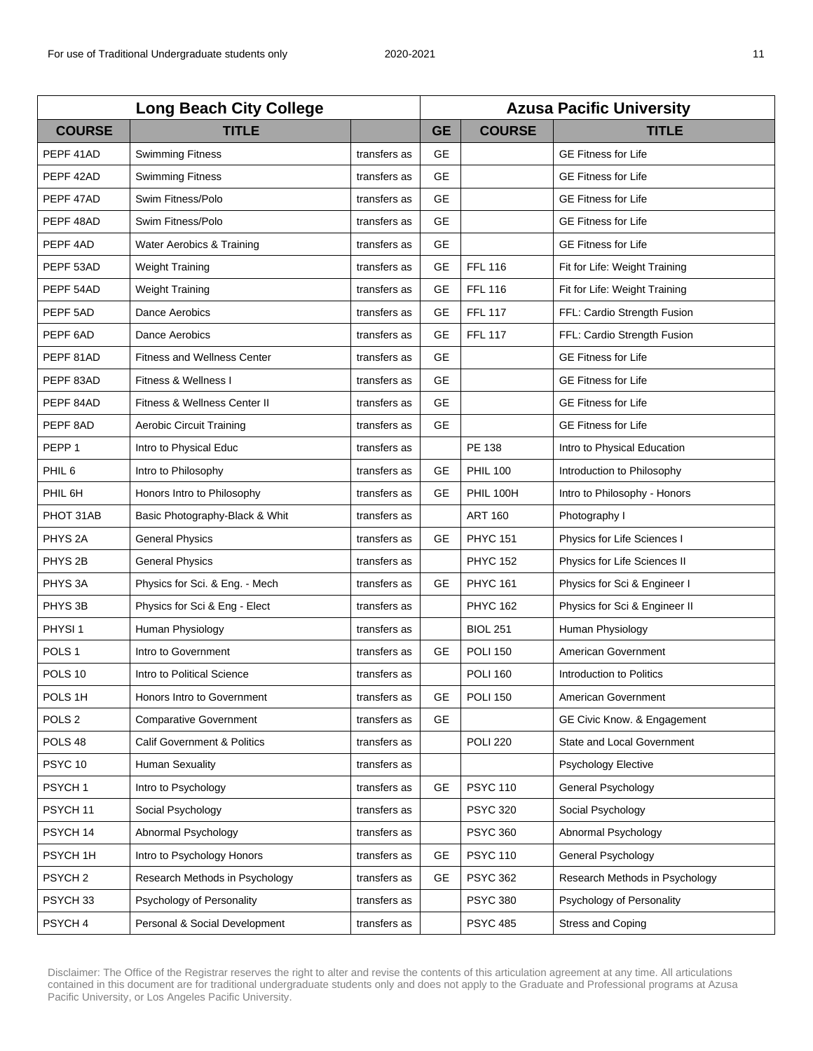| <b>Long Beach City College</b> |                                        |              | <b>Azusa Pacific University</b> |                  |                                |  |
|--------------------------------|----------------------------------------|--------------|---------------------------------|------------------|--------------------------------|--|
| <b>COURSE</b>                  | <b>TITLE</b>                           |              | <b>GE</b>                       | <b>COURSE</b>    | <b>TITLE</b>                   |  |
| PEPF 41AD                      | <b>Swimming Fitness</b>                | transfers as | <b>GE</b>                       |                  | <b>GE Fitness for Life</b>     |  |
| PEPF 42AD                      | <b>Swimming Fitness</b>                | transfers as | <b>GE</b>                       |                  | <b>GE Fitness for Life</b>     |  |
| PEPF 47AD                      | Swim Fitness/Polo                      | transfers as | <b>GE</b>                       |                  | <b>GE Fitness for Life</b>     |  |
| PEPF 48AD                      | Swim Fitness/Polo                      | transfers as | <b>GE</b>                       |                  | <b>GE Fitness for Life</b>     |  |
| PEPF <sub>4AD</sub>            | Water Aerobics & Training              | transfers as | <b>GE</b>                       |                  | <b>GE Fitness for Life</b>     |  |
| PEPF 53AD                      | <b>Weight Training</b>                 | transfers as | <b>GE</b>                       | <b>FFL 116</b>   | Fit for Life: Weight Training  |  |
| PEPF 54AD                      | <b>Weight Training</b>                 | transfers as | <b>GE</b>                       | <b>FFL 116</b>   | Fit for Life: Weight Training  |  |
| PEPF 5AD                       | Dance Aerobics                         | transfers as | GE                              | <b>FFL 117</b>   | FFL: Cardio Strength Fusion    |  |
| PEPF 6AD                       | Dance Aerobics                         | transfers as | <b>GE</b>                       | <b>FFL 117</b>   | FFL: Cardio Strength Fusion    |  |
| PEPF 81AD                      | <b>Fitness and Wellness Center</b>     | transfers as | <b>GE</b>                       |                  | <b>GE Fitness for Life</b>     |  |
| PEPF 83AD                      | Fitness & Wellness I                   | transfers as | <b>GE</b>                       |                  | <b>GE Fitness for Life</b>     |  |
| PEPF 84AD                      | Fitness & Wellness Center II           | transfers as | <b>GE</b>                       |                  | <b>GE Fitness for Life</b>     |  |
| PEPF 8AD                       | <b>Aerobic Circuit Training</b>        | transfers as | <b>GE</b>                       |                  | <b>GE Fitness for Life</b>     |  |
| PEPP <sub>1</sub>              | Intro to Physical Educ                 | transfers as |                                 | PE 138           | Intro to Physical Education    |  |
| PHIL <sub>6</sub>              | Intro to Philosophy                    | transfers as | <b>GE</b>                       | <b>PHIL 100</b>  | Introduction to Philosophy     |  |
| PHIL 6H                        | Honors Intro to Philosophy             | transfers as | <b>GE</b>                       | <b>PHIL 100H</b> | Intro to Philosophy - Honors   |  |
| PHOT 31AB                      | Basic Photography-Black & Whit         | transfers as |                                 | <b>ART 160</b>   | Photography I                  |  |
| PHYS <sub>2A</sub>             | <b>General Physics</b>                 | transfers as | <b>GE</b>                       | <b>PHYC 151</b>  | Physics for Life Sciences I    |  |
| PHYS <sub>2B</sub>             | <b>General Physics</b>                 | transfers as |                                 | <b>PHYC 152</b>  | Physics for Life Sciences II   |  |
| PHYS <sub>3A</sub>             | Physics for Sci. & Eng. - Mech         | transfers as | <b>GE</b>                       | <b>PHYC 161</b>  | Physics for Sci & Engineer I   |  |
| PHYS 3B                        | Physics for Sci & Eng - Elect          | transfers as |                                 | <b>PHYC 162</b>  | Physics for Sci & Engineer II  |  |
| PHYSI <sub>1</sub>             | Human Physiology                       | transfers as |                                 | <b>BIOL 251</b>  | Human Physiology               |  |
| POLS <sub>1</sub>              | Intro to Government                    | transfers as | <b>GE</b>                       | <b>POLI 150</b>  | American Government            |  |
| POLS 10                        | Intro to Political Science             | transfers as |                                 | <b>POLI 160</b>  | Introduction to Politics       |  |
| POLS 1H                        | Honors Intro to Government             | transfers as | GE                              | <b>POLI 150</b>  | American Government            |  |
| POLS <sub>2</sub>              | <b>Comparative Government</b>          | transfers as | <b>GE</b>                       |                  | GE Civic Know. & Engagement    |  |
| POLS 48                        | <b>Calif Government &amp; Politics</b> | transfers as |                                 | <b>POLI 220</b>  | State and Local Government     |  |
| PSYC <sub>10</sub>             | Human Sexuality                        | transfers as |                                 |                  | Psychology Elective            |  |
| PSYCH <sub>1</sub>             | Intro to Psychology                    | transfers as | <b>GE</b>                       | <b>PSYC 110</b>  | General Psychology             |  |
| PSYCH <sub>11</sub>            | Social Psychology                      | transfers as |                                 | <b>PSYC 320</b>  | Social Psychology              |  |
| PSYCH 14                       | Abnormal Psychology                    | transfers as |                                 | <b>PSYC 360</b>  | Abnormal Psychology            |  |
| PSYCH 1H                       | Intro to Psychology Honors             | transfers as | GE                              | <b>PSYC 110</b>  | General Psychology             |  |
| PSYCH <sub>2</sub>             | Research Methods in Psychology         | transfers as | GE                              | <b>PSYC 362</b>  | Research Methods in Psychology |  |
| PSYCH <sub>33</sub>            | Psychology of Personality              | transfers as |                                 | <b>PSYC 380</b>  | Psychology of Personality      |  |
| PSYCH 4                        | Personal & Social Development          | transfers as |                                 | <b>PSYC 485</b>  | <b>Stress and Coping</b>       |  |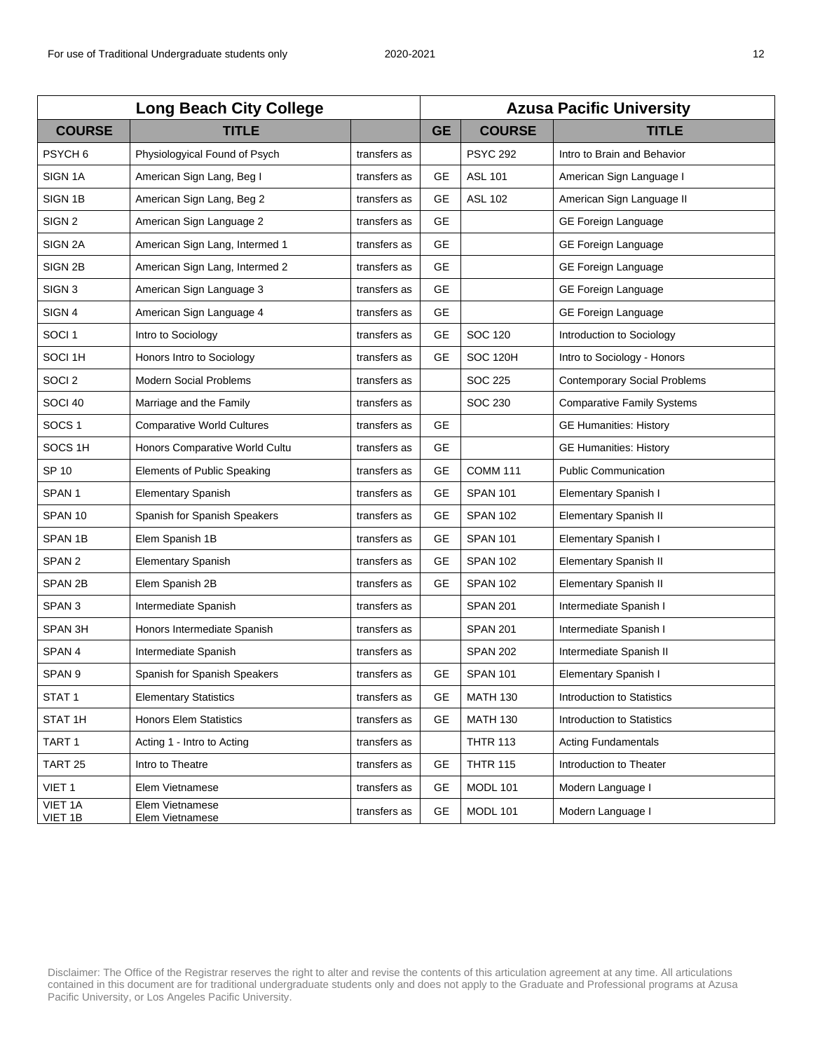| <b>Long Beach City College</b> |                                    |              | <b>Azusa Pacific University</b> |                 |                                     |  |
|--------------------------------|------------------------------------|--------------|---------------------------------|-----------------|-------------------------------------|--|
| <b>COURSE</b>                  | <b>TITLE</b>                       |              | <b>GE</b>                       | <b>COURSE</b>   | <b>TITLE</b>                        |  |
| PSYCH <sub>6</sub>             | Physiologyical Found of Psych      | transfers as |                                 | <b>PSYC 292</b> | Intro to Brain and Behavior         |  |
| SIGN <sub>1A</sub>             | American Sign Lang, Beg I          | transfers as | <b>GE</b>                       | <b>ASL 101</b>  | American Sign Language I            |  |
| SIGN 1B                        | American Sign Lang, Beg 2          | transfers as | <b>GE</b>                       | <b>ASL 102</b>  | American Sign Language II           |  |
| SIGN <sub>2</sub>              | American Sign Language 2           | transfers as | <b>GE</b>                       |                 | GE Foreign Language                 |  |
| SIGN 2A                        | American Sign Lang, Intermed 1     | transfers as | <b>GE</b>                       |                 | GE Foreign Language                 |  |
| SIGN 2B                        | American Sign Lang, Intermed 2     | transfers as | <b>GE</b>                       |                 | GE Foreign Language                 |  |
| SIGN <sub>3</sub>              | American Sign Language 3           | transfers as | <b>GE</b>                       |                 | GE Foreign Language                 |  |
| SIGN 4                         | American Sign Language 4           | transfers as | <b>GE</b>                       |                 | GE Foreign Language                 |  |
| SOCI <sub>1</sub>              | Intro to Sociology                 | transfers as | <b>GE</b>                       | <b>SOC 120</b>  | Introduction to Sociology           |  |
| SOCI 1H                        | Honors Intro to Sociology          | transfers as | <b>GE</b>                       | <b>SOC 120H</b> | Intro to Sociology - Honors         |  |
| SOCI <sub>2</sub>              | <b>Modern Social Problems</b>      | transfers as |                                 | SOC 225         | <b>Contemporary Social Problems</b> |  |
| SOCI 40                        | Marriage and the Family            | transfers as |                                 | <b>SOC 230</b>  | <b>Comparative Family Systems</b>   |  |
| SOCS <sub>1</sub>              | <b>Comparative World Cultures</b>  | transfers as | <b>GE</b>                       |                 | <b>GE Humanities: History</b>       |  |
| SOCS <sub>1H</sub>             | Honors Comparative World Cultu     | transfers as | <b>GE</b>                       |                 | <b>GE Humanities: History</b>       |  |
| SP 10                          | Elements of Public Speaking        | transfers as | <b>GE</b>                       | <b>COMM 111</b> | <b>Public Communication</b>         |  |
| SPAN <sub>1</sub>              | <b>Elementary Spanish</b>          | transfers as | <b>GE</b>                       | <b>SPAN 101</b> | Elementary Spanish I                |  |
| SPAN 10                        | Spanish for Spanish Speakers       | transfers as | <b>GE</b>                       | <b>SPAN 102</b> | <b>Elementary Spanish II</b>        |  |
| SPAN <sub>1B</sub>             | Elem Spanish 1B                    | transfers as | <b>GE</b>                       | <b>SPAN 101</b> | Elementary Spanish I                |  |
| SPAN <sub>2</sub>              | <b>Elementary Spanish</b>          | transfers as | <b>GE</b>                       | <b>SPAN 102</b> | <b>Elementary Spanish II</b>        |  |
| SPAN 2B                        | Elem Spanish 2B                    | transfers as | GE                              | <b>SPAN 102</b> | <b>Elementary Spanish II</b>        |  |
| SPAN <sub>3</sub>              | Intermediate Spanish               | transfers as |                                 | <b>SPAN 201</b> | Intermediate Spanish I              |  |
| SPAN 3H                        | Honors Intermediate Spanish        | transfers as |                                 | <b>SPAN 201</b> | Intermediate Spanish I              |  |
| SPAN 4                         | Intermediate Spanish               | transfers as |                                 | <b>SPAN 202</b> | Intermediate Spanish II             |  |
| SPAN <sub>9</sub>              | Spanish for Spanish Speakers       | transfers as | GE                              | <b>SPAN 101</b> | Elementary Spanish I                |  |
| STAT <sub>1</sub>              | <b>Elementary Statistics</b>       | transfers as | GE                              | <b>MATH 130</b> | Introduction to Statistics          |  |
| STAT 1H                        | <b>Honors Elem Statistics</b>      | transfers as | <b>GE</b>                       | <b>MATH 130</b> | Introduction to Statistics          |  |
| TART <sub>1</sub>              | Acting 1 - Intro to Acting         | transfers as |                                 | <b>THTR 113</b> | <b>Acting Fundamentals</b>          |  |
| TART <sub>25</sub>             | Intro to Theatre                   | transfers as | <b>GE</b>                       | <b>THTR 115</b> | Introduction to Theater             |  |
| VIET <sub>1</sub>              | Elem Vietnamese                    | transfers as | <b>GE</b>                       | <b>MODL 101</b> | Modern Language I                   |  |
| VIET 1A<br>VIET 1B             | Elem Vietnamese<br>Elem Vietnamese | transfers as | <b>GE</b>                       | <b>MODL 101</b> | Modern Language I                   |  |